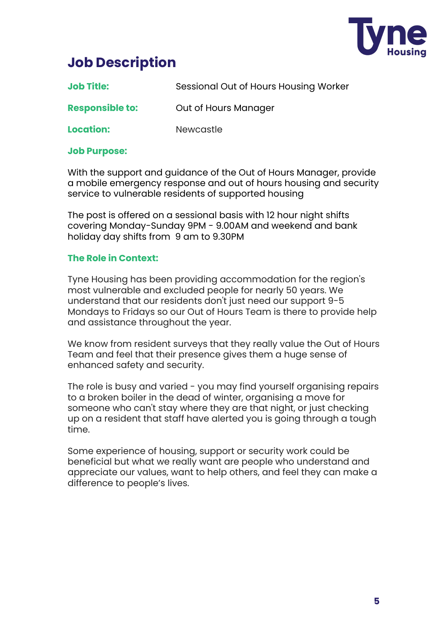

# **Job Description**

| <b>Job Title:</b> | Sessional Out of Hours Housing Worker |
|-------------------|---------------------------------------|
|-------------------|---------------------------------------|

**Responsible to:** Out of Hours Manager

**Location:** Newcastle

#### **Job Purpose:**

With the support and guidance of the Out of Hours Manager, provide a mobile emergency response and out of hours housing and security service to vulnerable residents of supported housing

The post is offered on a sessional basis with 12 hour night shifts covering Monday-Sunday 9PM - 9.00AM and weekend and bank holiday day shifts from 9 am to 9.30PM

#### **The Role in Context:**

Tyne Housing has been providing accommodation for the region's most vulnerable and excluded people for nearly 50 years. We understand that our residents don't just need our support 9-5 Mondays to Fridays so our Out of Hours Team is there to provide help and assistance throughout the year.

We know from resident surveys that they really value the Out of Hours Team and feel that their presence gives them a huge sense of enhanced safety and security.

The role is busy and varied - you may find yourself organising repairs to a broken boiler in the dead of winter, organising a move for someone who can't stay where they are that night, or just checking up on a resident that staff have alerted you is going through a tough time.

Some experience of housing, support or security work could be beneficial but what we really want are people who understand and appreciate our values, want to help others, and feel they can make a difference to people's lives.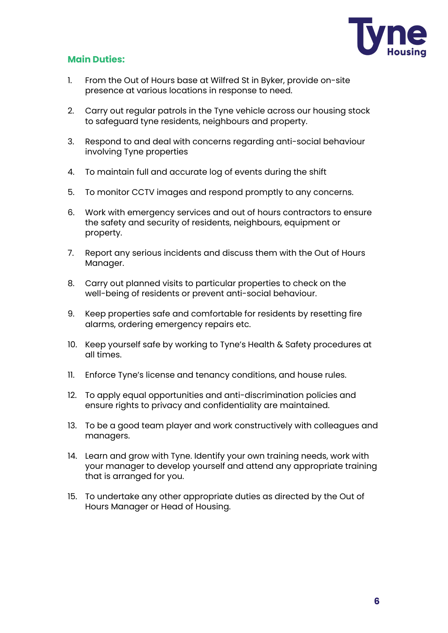

### **Main Duties:**

- 1. From the Out of Hours base at Wilfred St in Byker, provide on-site presence at various locations in response to need.
- 2. Carry out regular patrols in the Tyne vehicle across our housing stock to safeguard tyne residents, neighbours and property.
- 3. Respond to and deal with concerns regarding anti-social behaviour involving Tyne properties
- 4. To maintain full and accurate log of events during the shift
- 5. To monitor CCTV images and respond promptly to any concerns.
- 6. Work with emergency services and out of hours contractors to ensure the safety and security of residents, neighbours, equipment or property.
- 7. Report any serious incidents and discuss them with the Out of Hours Manager.
- 8. Carry out planned visits to particular properties to check on the well-being of residents or prevent anti-social behaviour.
- 9. Keep properties safe and comfortable for residents by resetting fire alarms, ordering emergency repairs etc.
- 10. Keep yourself safe by working to Tyne's Health & Safety procedures at all times.
- 11. Enforce Tyne's license and tenancy conditions, and house rules.
- 12. To apply equal opportunities and anti-discrimination policies and ensure rights to privacy and confidentiality are maintained.
- 13. To be a good team player and work constructively with colleagues and managers.
- 14. Learn and grow with Tyne. Identify your own training needs, work with your manager to develop yourself and attend any appropriate training that is arranged for you.
- 15. To undertake any other appropriate duties as directed by the Out of Hours Manager or Head of Housing.